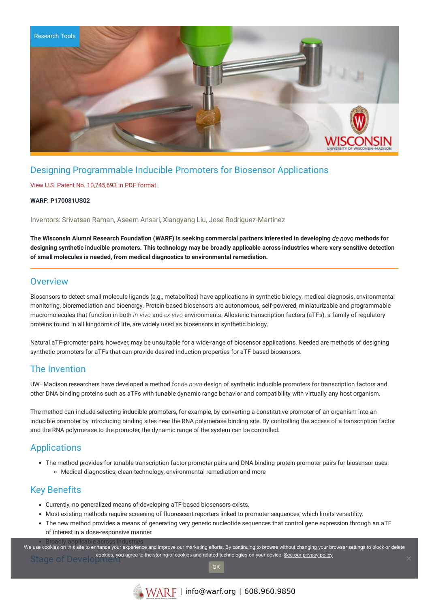

# Designing Programmable Inducible Promoters for Biosensor Applications

### View U.S. Patent No. [10,745,693](https://www.warf.org/wp-content/uploads/technologies/ipstatus/P170081US02.pdf) in PDF format.

#### **WARF: P170081US02**

Inventors: Srivatsan Raman, Aseem Ansari, Xiangyang Liu, Jose Rodriguez-Martinez

The Wisconsin Alumni Research Foundation (WARF) is seeking commercial partners interested in developing de novo methods for designing synthetic inducible promoters. This technology may be broadly applicable across industries where very sensitive detection **of small molecules is needed, from medical diagnostics to environmental remediation.**

### **Overview**

Biosensors to detect small molecule ligands (e.g., metabolites) have applications in synthetic biology, medical diagnosis, environmental monitoring, bioremediation and bioenergy. Protein-based biosensors are autonomous, self-powered, miniaturizable and programmable macromolecules that function in both *in vivo* and *ex vivo* environments. Allosteric transcription factors (aTFs), a family of regulatory proteins found in all kingdoms of life, are widely used as biosensors in synthetic biology.

Natural aTF-promoter pairs, however, may be unsuitable for a wide-range of biosensor applications. Needed are methods of designing synthetic promoters for aTFs that can provide desired induction properties for aTF-based biosensors.

## The Invention

UW–Madison researchers have developed a method for *de novo* design of synthetic inducible promoters for transcription factors and other DNA binding proteins such as aTFs with tunable dynamic range behavior and compatibility with virtually any host organism.

The method can include selecting inducible promoters, for example, by converting a constitutive promoter of an organism into an inducible promoter by introducing binding sites near the RNA polymerase binding site. By controlling the access of a transcription factor and the RNA polymerase to the promoter, the dynamic range of the system can be controlled.

# **Applications**

- The method provides for tunable transcription factor-promoter pairs and DNA binding protein-promoter pairs for biosensor uses.
	- Medical diagnostics, clean technology, environmental remediation and more

## Key Benefits

- Currently, no generalized means of developing aTF-based biosensors exists.
- Most existing methods require screening of fluorescent reporters linked to promoter sequences, which limits versatility.
- The new method provides a means of generating very generic nucleotide sequences that control gene expression through an aTF of interest in a dose-responsive manner.

we use cookies on this site to enhance your experience and improve our marketing efforts. By continuing to browse without changing your browser settings to block or delete Stage of Develop cookies, you agree to the storing of cookies and related technologies on your device. [See our privacy policy](https://www.warf.org/privacy-policy/)